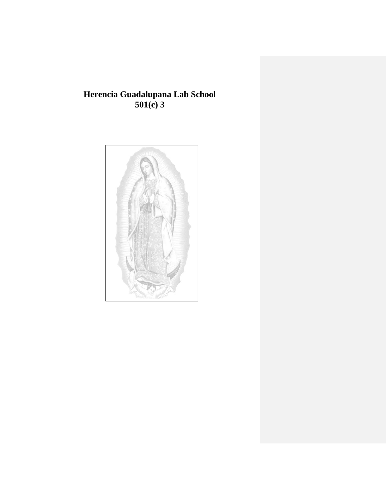# **Herencia Guadalupana Lab School 501(c) 3**

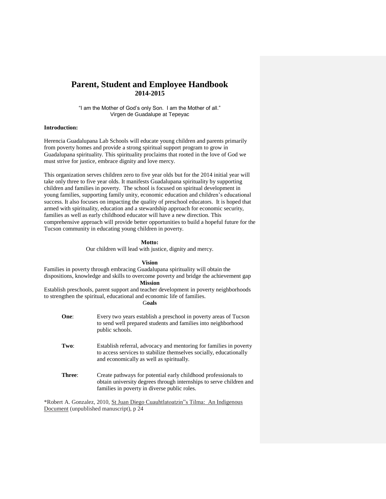# **Parent, Student and Employee Handbook 2014-2015**

"I am the Mother of God's only Son. I am the Mother of all." Virgen de Guadalupe at Tepeyac

# **Introduction:**

Herencia Guadalupana Lab Schools will educate young children and parents primarily from poverty homes and provide a strong spiritual support program to grow in Guadalupana spirituality. This spirituality proclaims that rooted in the love of God we must strive for justice, embrace dignity and love mercy.

This organization serves children zero to five year olds but for the 2014 initial year will take only three to five year olds. It manifests Guadalupana spirituality by supporting children and families in poverty. The school is focused on spiritual development in young families, supporting family unity, economic education and children's educational success. It also focuses on impacting the quality of preschool educators. It is hoped that armed with spirituality, education and a stewardship approach for economic security, families as well as early childhood educator will have a new direction. This comprehensive approach will provide better opportunities to build a hopeful future for the Tucson community in educating young children in poverty.

**Motto:**

Our children will lead with justice, dignity and mercy.

**Vision**

Families in poverty through embracing Guadalupana spirituality will obtain the dispositions, knowledge and skills to overcome poverty and bridge the achievement gap **Mission** Establish preschools, parent support and teacher development in poverty neighborhoods

to strengthen the spiritual, educational and economic life of families.

# G**oals**

| One:   | Every two years establish a preschool in poverty areas of Tucson<br>to send well prepared students and families into neighborhood<br>public schools.                                  |
|--------|---------------------------------------------------------------------------------------------------------------------------------------------------------------------------------------|
| Two:   | Establish referral, advocacy and mentoring for families in poverty<br>to access services to stabilize themselves socially, educationally<br>and economically as well as spiritually.  |
| Three: | Create pathways for potential early childhood professionals to<br>obtain university degrees through internships to serve children and<br>families in poverty in diverse public roles. |

\*Robert A. Gonzalez, 2010, St Juan Diego Cuauhtlatoatzin"s Tilma: An Indigenous Document (unpublished manuscript), p 24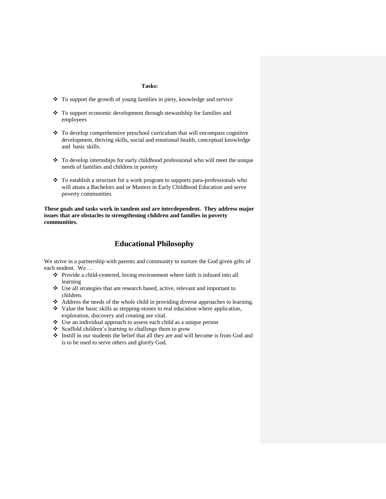# **Tasks:**

- To support the growth of young families in piety, knowledge and service
- To support economic development through stewardship for families and employees
- $\cdot \cdot$  To develop comprehensive preschool curriculum that will encompass cognitive development, thriving skills, social and emotional health, conceptual knowledge and basic skills.
- To develop internships for early childhood professional who will meet the unique needs of families and children in poverty
- \* To establish a structure for a work program to supports para-professionals who will attain a Bachelors and or Masters in Early Childhood Education and serve poverty communities

**These goals and tasks work in tandem and are interdependent. They address major issues that are obstacles to strengthening children and families in poverty communities.**

# **Educational Philosophy**

We strive in a partnership with parents and community to nurture the God given gifts of each student. We….

- Provide a child-centered, loving environment where faith is infused into all learning
- Use all strategies that are research based, active, relevant and important to children.
- Address the needs of the whole child in providing diverse approaches to learning.
- $\bullet\bullet\text{ Value the basic skills as stepping-stones to real education where application,}$ exploration, discovery and creating are vital.
- Use an individual approach to assess each child as a unique person
- Scaffold children's learning to challenge them to grow
- Instill in our students the belief that all they are and will become is from God and is to be used to serve others and glorify God.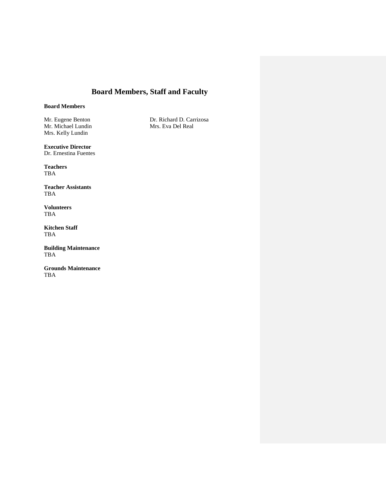# **Board Members, Staff and Faculty**

# **Board Members**

Mr. Michael Lundin Mrs. Kelly Lundin

**Executive Director** Dr. Ernestina Fuentes

**Teachers** TBA

**Teacher Assistants** TBA

**Volunteers** TBA

**Kitchen Staff** TBA

**Building Maintenance** TBA

**Grounds Maintenance** TBA

Mr. Eugene Benton Dr. Richard D. Carrizosa<br>
Mr. Michael Lundin Mrs. Eva Del Real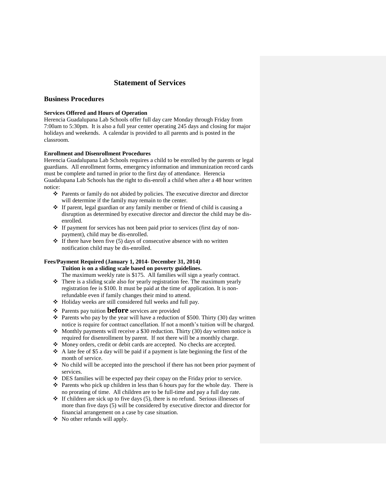# **Statement of Services**

# **Business Procedures**

## **Services Offered and Hours of Operation**

Herencia Guadalupana Lab Schools offer full day care Monday through Friday from 7:00am to 5:30pm. It is also a full year center operating 245 days and closing for major holidays and weekends. A calendar is provided to all parents and is posted in the classroom.

# **Enrollment and Disenrollment Procedures**

Herencia Guadalupana Lab Schools requires a child to be enrolled by the parents or legal guardians. All enrollment forms, emergency information and immunization record cards must be complete and turned in prior to the first day of attendance. Herencia Guadalupana Lab Schools has the right to dis-enroll a child when after a 48 hour written notice:

- Parents or family do not abided by policies. The executive director and director will determine if the family may remain to the center.
- If parent, legal guardian or any family member or friend of child is causing a disruption as determined by executive director and director the child may be disenrolled.
- If payment for services has not been paid prior to services (first day of nonpayment), child may be dis-enrolled.
- $\cdot \cdot$  If there have been five (5) days of consecutive absence with no written notification child may be dis-enrolled.

# **Fees/Payment Required (January 1, 2014- December 31, 2014)**

**Tuition is on a sliding scale based on poverty guidelines.** 

The maximum weekly rate is \$175. All families will sign a yearly contract.

- $\triangle$  There is a sliding scale also for yearly registration fee. The maximum yearly registration fee is \$100. It must be paid at the time of application. It is nonrefundable even if family changes their mind to attend.
- Holiday weeks are still considered full weeks and full pay.
- Parents pay tuition **before** services are provided
- **\*** Parents who pay by the year will have a reduction of \$500. Thirty (30) day written notice is require for contract cancellation. If not a month's tuition will be charged.
- Monthly payments will receive a \$30 reduction. Thirty (30) day written notice is required for disenrollment by parent. If not there will be a monthly charge.
- Money orders, credit or debit cards are accepted. No checks are accepted.
- $\triangle$  A late fee of \$5 a day will be paid if a payment is late beginning the first of the month of service.
- No child will be accepted into the preschool if there has not been prior payment of services.
- DES families will be expected pay their copay on the Friday prior to service.
- $\triangleleft$  Parents who pick up children in less than 6 hours pay for the whole day. There is no prorating of time. All children are to be full-time and pay a full day rate.
- $\div$  If children are sick up to five days (5), there is no refund. Serious illnesses of more than five days (5) will be considered by executive director and director for financial arrangement on a case by case situation.
- No other refunds will apply.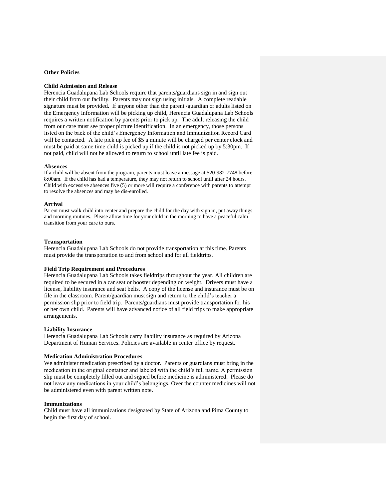# **Other Policies**

## **Child Admission and Release**

Herencia Guadalupana Lab Schools require that parents/guardians sign in and sign out their child from our facility. Parents may not sign using initials. A complete readable signature must be provided. If anyone other than the parent /guardian or adults listed on the Emergency Information will be picking up child, Herencia Guadalupana Lab Schools requires a written notification by parents prior to pick up. The adult releasing the child from our care must see proper picture identification. In an emergency, those persons listed on the back of the child's Emergency Information and Immunization Record Card will be contacted. A late pick up fee of \$5 a minute will be charged per center clock and must be paid at same time child is picked up if the child is not picked up by 5:30pm. If not paid, child will not be allowed to return to school until late fee is paid.

#### **Absences**

If a child will be absent from the program, parents must leave a message at 520-982-7748 before 8:00am. If the child has had a temperature, they may not return to school until after 24 hours. Child with excessive absences five (5) or more will require a conference with parents to attempt to resolve the absences and may be dis-enrolled.

#### **Arrival**

Parent must walk child into center and prepare the child for the day with sign in, put away things and morning routines. Please allow time for your child in the morning to have a peaceful calm transition from your care to ours.

#### **Transportation**

Herencia Guadalupana Lab Schools do not provide transportation at this time. Parents must provide the transportation to and from school and for all fieldtrips.

## **Field Trip Requirement and Procedures**

Herencia Guadalupana Lab Schools takes fieldtrips throughout the year. All children are required to be secured in a car seat or booster depending on weight. Drivers must have a license, liability insurance and seat belts. A copy of the license and insurance must be on file in the classroom. Parent/guardian must sign and return to the child's teacher a permission slip prior to field trip. Parents/guardians must provide transportation for his or her own child. Parents will have advanced notice of all field trips to make appropriate arrangements.

#### **Liability Insurance**

Herencia Guadalupana Lab Schools carry liability insurance as required by Arizona Department of Human Services. Policies are available in center office by request.

# **Medication Administration Procedures**

We administer medication prescribed by a doctor. Parents or guardians must bring in the medication in the original container and labeled with the child's full name. A permission slip must be completely filled out and signed before medicine is administered. Please do not leave any medications in your child's belongings. Over the counter medicines will not be administered even with parent written note.

#### **Immunizations**

Child must have all immunizations designated by State of Arizona and Pima County to begin the first day of school.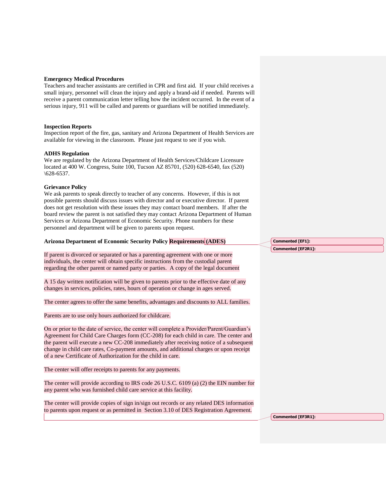### **Emergency Medical Procedures**

Teachers and teacher assistants are certified in CPR and first aid. If your child receives a small injury, personnel will clean the injury and apply a brand-aid if needed. Parents will receive a parent communication letter telling how the incident occurred. In the event of a serious injury, 911 will be called and parents or guardians will be notified immediately.

## **Inspection Reports**

Inspection report of the fire, gas, sanitary and Arizona Department of Health Services are available for viewing in the classroom. Please just request to see if you wish.

## **ADHS Regulation**

We are regulated by the Arizona Department of Health Services/Childcare Licensure located at 400 W. Congress, Suite 100, Tucson AZ 85701, (520) 628-6540, fax (520)  $\setminus 628 - 6537.$ 

### **Grievance Policy**

We ask parents to speak directly to teacher of any concerns. However, if this is not possible parents should discuss issues with director and or executive director. If parent does not get resolution with these issues they may contact board members. If after the board review the parent is not satisfied they may contact Arizona Department of Human Services or Arizona Department of Economic Security. Phone numbers for these personnel and department will be given to parents upon request.

#### **Arizona Department of Economic Security Policy Requirements (ADES)**

If parent is divorced or separated or has a parenting agreement with one or more individuals, the center will obtain specific instructions from the custodial parent regarding the other parent or named party or parties. A copy of the legal document

A 15 day written notification will be given to parents prior to the effective date of any changes in services, policies, rates, hours of operation or change in ages served.

The center agrees to offer the same benefits, advantages and discounts to ALL families.

Parents are to use only hours authorized for childcare.

On or prior to the date of service, the center will complete a Provider/Parent/Guardian's Agreement for Child Care Charges form (CC-208) for each child in care. The center and the parent will execute a new CC-208 immediately after receiving notice of a subsequent change in child care rates, Co-payment amounts, and additional charges or upon receipt of a new Certificate of Authorization for the child in care.

The center will offer receipts to parents for any payments.

The center will provide according to IRS code 26 U.S.C. 6109 (a) (2) the EIN number for any parent who was furnished child care service at this facility.

The center will provide copies of sign in/sign out records or any related DES information to parents upon request or as permitted in Section 3.10 of DES Registration Agreement.

**Commented [EF1]: Commented [EF2R1]:** 

**Commented [EF3R1]:**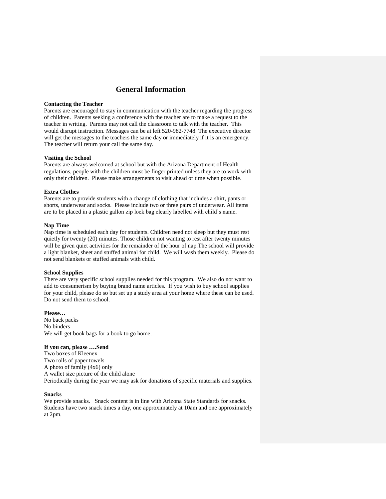# **General Information**

## **Contacting the Teacher**

Parents are encouraged to stay in communication with the teacher regarding the progress of children. Parents seeking a conference with the teacher are to make a request to the teacher in writing. Parents may not call the classroom to talk with the teacher. This would disrupt instruction. Messages can be at left 520-982-7748. The executive director will get the messages to the teachers the same day or immediately if it is an emergency. The teacher will return your call the same day.

#### **Visiting the School**

Parents are always welcomed at school but with the Arizona Department of Health regulations, people with the children must be finger printed unless they are to work with only their children. Please make arrangements to visit ahead of time when possible.

## **Extra Clothes**

Parents are to provide students with a change of clothing that includes a shirt, pants or shorts, underwear and socks. Please include two or three pairs of underwear. All items are to be placed in a plastic gallon zip lock bag clearly labelled with child's name.

## **Nap Time**

Nap time is scheduled each day for students. Children need not sleep but they must rest quietly for twenty (20) minutes. Those children not wanting to rest after twenty minutes will be given quiet activities for the remainder of the hour of nap.The school will provide a light blanket, sheet and stuffed animal for child. We will wash them weekly. Please do not send blankets or stuffed animals with child.

#### **School Supplies**

There are very specific school supplies needed for this program. We also do not want to add to consumerism by buying brand name articles. If you wish to buy school supplies for your child, please do so but set up a study area at your home where these can be used. Do not send them to school.

#### **Please…**

No back packs No binders We will get book bags for a book to go home.

#### **If you can, please ….Send**

Two boxes of Kleenex Two rolls of paper towels A photo of family (4x6) only A wallet size picture of the child alone Periodically during the year we may ask for donations of specific materials and supplies.

# **Snacks**

We provide snacks. Snack content is in line with Arizona State Standards for snacks. Students have two snack times a day, one approximately at 10am and one approximately at 2pm.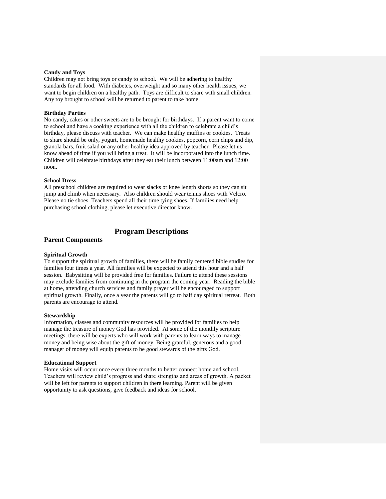## **Candy and Toys**

Children may not bring toys or candy to school. We will be adhering to healthy standards for all food. With diabetes, overweight and so many other health issues, we want to begin children on a healthy path. Toys are difficult to share with small children. Any toy brought to school will be returned to parent to take home.

#### **Birthday Parties**

No candy, cakes or other sweets are to be brought for birthdays. If a parent want to come to school and have a cooking experience with all the children to celebrate a child's birthday, please discuss with teacher. We can make healthy muffins or cookies. Treats to share should be only, yogurt, homemade healthy cookies, popcorn, corn chips and dip, granola bars, fruit salad or any other healthy idea approved by teacher. Please let us know ahead of time if you will bring a treat. It will be incorporated into the lunch time. Children will celebrate birthdays after they eat their lunch between 11:00am and 12:00 noon.

# **School Dress**

All preschool children are required to wear slacks or knee length shorts so they can sit jump and climb when necessary. Also children should wear tennis shoes with Velcro. Please no tie shoes. Teachers spend all their time tying shoes. If families need help purchasing school clothing, please let executive director know.

# **Program Descriptions**

# **Parent Components**

#### **Spiritual Growth**

To support the spiritual growth of families, there will be family centered bible studies for families four times a year. All families will be expected to attend this hour and a half session. Babysitting will be provided free for families. Failure to attend these sessions may exclude families from continuing in the program the coming year. Reading the bible at home, attending church services and family prayer will be encouraged to support spiritual growth. Finally, once a year the parents will go to half day spiritual retreat. Both parents are encourage to attend.

## **Stewardship**

Information, classes and community resources will be provided for families to help manage the treasure of money God has provided. At some of the monthly scripture meetings, there will be experts who will work with parents to learn ways to manage money and being wise about the gift of money. Being grateful, generous and a good manager of money will equip parents to be good stewards of the gifts God.

#### **Educational Support**

Home visits will occur once every three months to better connect home and school. Teachers will review child's progress and share strengths and areas of growth. A packet will be left for parents to support children in there learning. Parent will be given opportunity to ask questions, give feedback and ideas for school.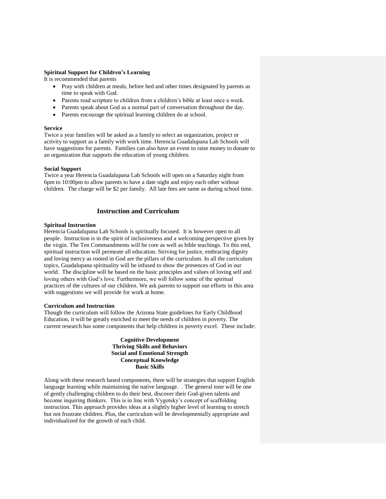# **Spiritual Support for Children's Learning**

It is recommended that parents

- Pray with children at meals, before bed and other times designated by parents as time to speak with God.
- Parents read scripture to children from a children's bible at least once a week.
- Parents speak about God as a normal part of conversation throughout the day.
- Parents encourage the spiritual learning children do at school.

#### **Service**

Twice a year families will be asked as a family to select an organization, project or activity to support as a family with work time. Herencia Guadalupana Lab Schools will have suggestions for parents. Families can also have an event to raise money to donate to an organization that supports the education of young children.

### **Social Support**

Twice a year Herencia Guadalupana Lab Schools will open on a Saturday night from 6pm to 10:00pm to allow parents to have a date night and enjoy each other without children. The charge will be \$2 per family. All late fees are same as during school time.

## **Instruction and Curriculum**

## **Spiritual Instruction**

Herencia Guadalupana Lab Schools is spiritually focused. It is however open to all people. Instruction is in the spirit of inclusiveness and a welcoming perspective given by the virgin. The Ten Commandments will be core as well as bible teachings. To this end, spiritual instruction will permeate all education. Striving for justice, embracing dignity and loving mercy as rooted in God are the pillars of the curriculum. In all the curriculum topics, Guadalupana spirituality will be infused to show the presences of God in our world. The discipline will be based on the basic principles and values of loving self and loving others with God's love. Furthermore, we will follow some of the spiritual practices of the cultures of our children. We ask parents to support our efforts in this area with suggestions we will provide for work at home.

#### **Curriculum and Instruction**

Though the curriculum will follow the Arizona State guidelines for Early Childhood Education, it will be greatly enriched to meet the needs of children in poverty. The current research has some components that help children in poverty excel. These include:

# **Cognitive Development Thriving Skills and Behaviors Social and Emotional Strength Conceptual Knowledge Basic Skills**

Along with these research based components, there will be strategies that support English language learning while maintaining the native language. . The general tone will be one of gently challenging children to do their best, discover their God-given talents and become inquiring thinkers. This is in line with Vygotsky's concept of scaffolding instruction. This approach provides ideas at a slightly higher level of learning to stretch but not frustrate children. Plus, the curriculum will be developmentally appropriate and individualized for the growth of each child.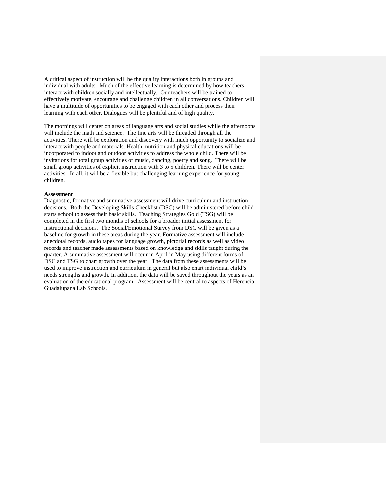A critical aspect of instruction will be the quality interactions both in groups and individual with adults. Much of the effective learning is determined by how teachers interact with children socially and intellectually. Our teachers will be trained to effectively motivate, encourage and challenge children in all conversations. Children will have a multitude of opportunities to be engaged with each other and process their learning with each other. Dialogues will be plentiful and of high quality.

The mornings will center on areas of language arts and social studies while the afternoons will include the math and science. The fine arts will be threaded through all the activities. There will be exploration and discovery with much opportunity to socialize and interact with people and materials. Health, nutrition and physical educations will be incorporated to indoor and outdoor activities to address the whole child. There will be invitations for total group activities of music, dancing, poetry and song. There will be small group activities of explicit instruction with 3 to 5 children. There will be center activities. In all, it will be a flexible but challenging learning experience for young children.

#### **Assessment**

Diagnostic, formative and summative assessment will drive curriculum and instruction decisions. Both the Developing Skills Checklist (DSC) will be administered before child starts school to assess their basic skills. Teaching Strategies Gold (TSG) will be completed in the first two months of schools for a broader initial assessment for instructional decisions. The Social/Emotional Survey from DSC will be given as a baseline for growth in these areas during the year. Formative assessment will include anecdotal records, audio tapes for language growth, pictorial records as well as video records and teacher made assessments based on knowledge and skills taught during the quarter. A summative assessment will occur in April in May using different forms of DSC and TSG to chart growth over the year. The data from these assessments will be used to improve instruction and curriculum in general but also chart individual child's needs strengths and growth. In addition, the data will be saved throughout the years as an evaluation of the educational program. Assessment will be central to aspects of Herencia Guadalupana Lab Schools.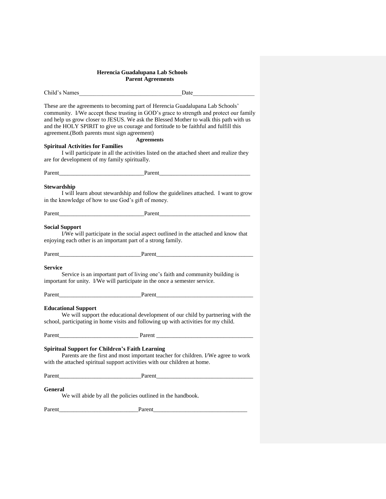## **Herencia Guadalupana Lab Schools Parent Agreements**

| Child's Names | Date |  |
|---------------|------|--|
|               |      |  |

These are the agreements to becoming part of Herencia Guadalupana Lab Schools' community. I/We accept these trusting in GOD's grace to strength and protect our family and help us grow closer to JESUS. We ask the Blessed Mother to walk this path with us and the HOLY SPIRIT to give us courage and fortitude to be faithful and fulfill this agreement.(Both parents must sign agreement)

# **Agreements**

**Spiritual Activities for Families**

I will participate in all the activities listed on the attached sheet and realize they are for development of my family spiritually.

Parent\_\_\_\_\_\_\_\_\_\_\_\_\_\_\_\_\_\_\_\_\_\_\_\_\_\_\_\_\_Parent\_\_\_\_\_\_\_\_\_\_\_\_\_\_\_\_\_\_\_\_\_\_\_\_\_\_\_\_\_\_\_

## **Stewardship**

I will learn about stewardship and follow the guidelines attached. I want to grow in the knowledge of how to use God's gift of money.

Parent **Parent** 

## **Social Support**

I/We will participate in the social aspect outlined in the attached and know that enjoying each other is an important part of a strong family.

Parent **Parent** 

## **Service**

Service is an important part of living one's faith and community building is important for unity. I/We will participate in the once a semester service.

Parent\_\_\_\_\_\_\_\_\_\_\_\_\_\_\_\_\_\_\_\_\_\_\_\_\_\_\_\_Parent\_\_\_\_\_\_\_\_\_\_\_\_\_\_\_\_\_\_\_\_\_\_\_\_\_\_\_\_\_\_\_\_\_

**Educational Support**

We will support the educational development of our child by partnering with the school, participating in home visits and following up with activities for my child.

Parent\_\_\_\_\_\_\_\_\_\_\_\_\_\_\_\_\_\_\_\_\_\_\_\_\_\_\_ Parent \_\_\_\_\_\_\_\_\_\_\_\_\_\_\_\_\_\_\_\_\_\_\_\_\_\_\_\_\_\_\_\_\_

# **Spiritual Support for Children's Faith Learning**

Parents are the first and most important teacher for children. I/We agree to work with the attached spiritual support activities with our children at home.

Parent **Parent** 

# **General**

We will abide by all the policies outlined in the handbook.

Parent **Parent**